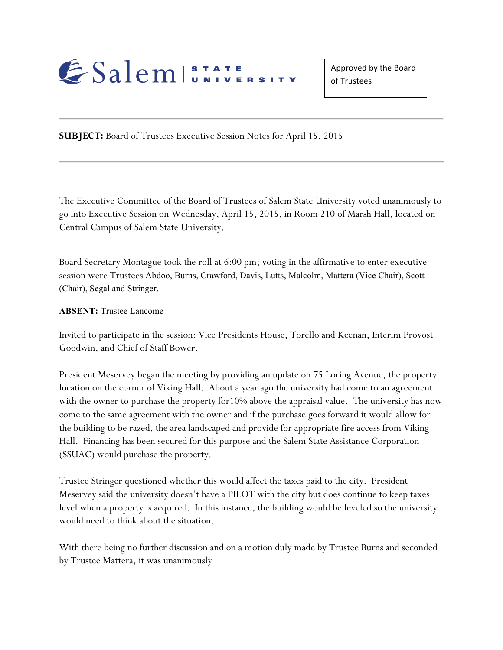

**SUBJECT:** Board of Trustees Executive Session Notes for April 15, 2015

The Executive Committee of the Board of Trustees of Salem State University voted unanimously to go into Executive Session on Wednesday, April 15, 2015, in Room 210 of Marsh Hall, located on Central Campus of Salem State University.

Board Secretary Montague took the roll at 6:00 pm; voting in the affirmative to enter executive session were Trustees Abdoo, Burns, Crawford, Davis, Lutts, Malcolm, Mattera (Vice Chair), Scott (Chair), Segal and Stringer.

**ABSENT:** Trustee Lancome

Invited to participate in the session: Vice Presidents House, Torello and Keenan, Interim Provost Goodwin, and Chief of Staff Bower.

President Meservey began the meeting by providing an update on 75 Loring Avenue, the property location on the corner of Viking Hall. About a year ago the university had come to an agreement with the owner to purchase the property for10% above the appraisal value. The university has now come to the same agreement with the owner and if the purchase goes forward it would allow for the building to be razed, the area landscaped and provide for appropriate fire access from Viking Hall. Financing has been secured for this purpose and the Salem State Assistance Corporation (SSUAC) would purchase the property.

Trustee Stringer questioned whether this would affect the taxes paid to the city. President Meservey said the university doesn't have a PILOT with the city but does continue to keep taxes level when a property is acquired. In this instance, the building would be leveled so the university would need to think about the situation.

With there being no further discussion and on a motion duly made by Trustee Burns and seconded by Trustee Mattera, it was unanimously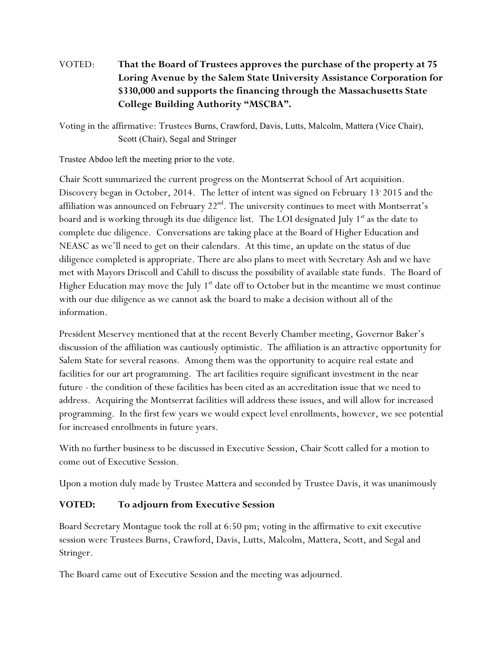## VOTED: **That the Board of Trustees approves the purchase of the property at 75 Loring Avenue by the Salem State University Assistance Corporation for \$330,000 and supports the financing through the Massachusetts State College Building Authority "MSCBA".**

Voting in the affirmative: Trustees Burns, Crawford, Davis, Lutts, Malcolm, Mattera (Vice Chair), Scott (Chair), Segal and Stringer

Trustee Abdoo left the meeting prior to the vote.

Chair Scott summarized the current progress on the Montserrat School of Art acquisition. Discovery began in October, 2014. The letter of intent was signed on February 13' 2015 and the affiliation was announced on February  $22<sup>nd</sup>$ . The university continues to meet with Montserrat's board and is working through its due diligence list. The LOI designated July  $1<sup>st</sup>$  as the date to complete due diligence. Conversations are taking place at the Board of Higher Education and NEASC as we'll need to get on their calendars. At this time, an update on the status of due diligence completed is appropriate. There are also plans to meet with Secretary Ash and we have met with Mayors Driscoll and Cahill to discuss the possibility of available state funds. The Board of Higher Education may move the July  $1<sup>st</sup>$  date off to October but in the meantime we must continue with our due diligence as we cannot ask the board to make a decision without all of the information.

President Meservey mentioned that at the recent Beverly Chamber meeting, Governor Baker's discussion of the affiliation was cautiously optimistic. The affiliation is an attractive opportunity for Salem State for several reasons. Among them was the opportunity to acquire real estate and facilities for our art programming. The art facilities require significant investment in the near future - the condition of these facilities has been cited as an accreditation issue that we need to address. Acquiring the Montserrat facilities will address these issues, and will allow for increased programming. In the first few years we would expect level enrollments, however, we see potential for increased enrollments in future years.

With no further business to be discussed in Executive Session, Chair Scott called for a motion to come out of Executive Session.

Upon a motion duly made by Trustee Mattera and seconded by Trustee Davis, it was unanimously

## **VOTED: To adjourn from Executive Session**

Board Secretary Montague took the roll at 6:50 pm; voting in the affirmative to exit executive session were Trustees Burns, Crawford, Davis, Lutts, Malcolm, Mattera, Scott, and Segal and Stringer.

The Board came out of Executive Session and the meeting was adjourned.